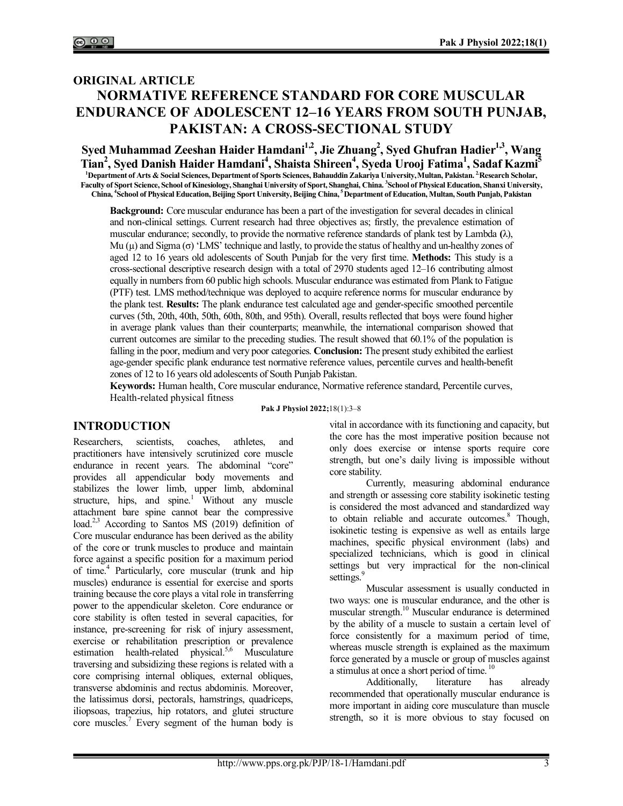# **ORIGINAL ARTICLE NORMATIVE REFERENCE STANDARD FOR CORE MUSCULAR ENDURANCE OF ADOLESCENT 12–16 YEARS FROM SOUTH PUNJAB, PAKISTAN: A CROSS-SECTIONAL STUDY**

**Syed Muhammad Zeeshan Haider Hamdani1,2, Jie Zhuang<sup>2</sup> , Syed Ghufran Hadier1,3, Wang Tian<sup>2</sup> , Syed Danish Haider Hamdani<sup>4</sup> , Shaista Shireen<sup>4</sup> , Syeda Urooj Fatima<sup>1</sup> , Sadaf Kazmi<sup>5</sup> <sup>1</sup>Department of Arts & Social Sciences, Department of Sports Sciences, Bahauddin Zakariya University, Multan, Pakistan. 2.Research Scholar, Faculty of Sport Science, School of Kinesiology, Shanghai University of Sport, Shanghai, China. <sup>3</sup> School of Physical Education, Shanxi University, China, <sup>4</sup> School of Physical Education, Beijing Sport University, Beijing China, <sup>5</sup>Department of Education, Multan, South Punjab, Pakistan** 

**Background:** Core muscular endurance has been a part of the investigation for several decades in clinical and non-clinical settings. Current research had three objectives as; firstly, the prevalence estimation of muscular endurance; secondly, to provide the normative reference standards of plank test by Lambda **(**λ), Mu (µ) and Sigma (σ) 'LMS' technique and lastly, to provide the status of healthy and un-healthy zones of aged 12 to 16 years old adolescents of South Punjab for the very first time. **Methods:** This study is a cross-sectional descriptive research design with a total of 2970 students aged 12–16 contributing almost equally in numbers from 60 public high schools. Muscular endurance was estimated from Plank to Fatigue (PTF) test. LMS method/technique was deployed to acquire reference norms for muscular endurance by the plank test. **Results:** The plank endurance test calculated age and gender-specific smoothed percentile curves (5th, 20th, 40th, 50th, 60th, 80th, and 95th). Overall, results reflected that boys were found higher in average plank values than their counterparts; meanwhile, the international comparison showed that current outcomes are similar to the preceding studies. The result showed that 60.1% of the population is falling in the poor, medium and very poor categories. **Conclusion:** The present study exhibited the earliest age-gender specific plank endurance test normative reference values, percentile curves and health-benefit zones of 12 to 16 years old adolescents of South Punjab Pakistan.

**Keywords:** Human health, Core muscular endurance, Normative reference standard, Percentile curves, Health-related physical fitness

## **INTRODUCTION**

Researchers, scientists, coaches, athletes, and practitioners have intensively scrutinized core muscle endurance in recent years. The abdominal "core" provides all appendicular body movements and stabilizes the lower limb, upper limb, abdominal structure, hips, and spine.<sup>1</sup> Without any muscle attachment bare spine cannot bear the compressive load.<sup>2,3</sup> According to Santos MS (2019) definition of Core muscular endurance has been derived as the ability of the core or trunk muscles to produce and maintain force against a specific position for a maximum period of time.<sup>4</sup> Particularly, core muscular (trunk and hip muscles) endurance is essential for exercise and sports training because the core plays a vital role in transferring power to the appendicular skeleton. Core endurance or core stability is often tested in several capacities, for instance, pre-screening for risk of injury assessment, exercise or rehabilitation prescription or prevalence estimation health-related physical.<sup>5,6</sup> Musculature traversing and subsidizing these regions is related with a core comprising internal obliques, external obliques, transverse abdominis and rectus abdominis. Moreover, the latissimus dorsi, pectorals, hamstrings, quadriceps, iliopsoas, trapezius, hip rotators, and glutei structure core muscles.<sup>7</sup> Every segment of the human body is

**Pak J Physiol 2022;**18(1):3‒8

vital in accordance with its functioning and capacity, but the core has the most imperative position because not only does exercise or intense sports require core strength, but one's daily living is impossible without core stability.

Currently, measuring abdominal endurance and strength or assessing core stability isokinetic testing is considered the most advanced and standardized way to obtain reliable and accurate outcomes.<sup>8</sup> Though, isokinetic testing is expensive as well as entails large machines, specific physical environment (labs) and specialized technicians, which is good in clinical settings but very impractical for the non-clinical settings.

Muscular assessment is usually conducted in two ways: one is muscular endurance, and the other is muscular strength.<sup>10</sup> Muscular endurance is determined by the ability of a muscle to sustain a certain level of force consistently for a maximum period of time, whereas muscle strength is explained as the maximum force generated by a muscle or group of muscles against a stimulus at once a short period of time.<sup>10</sup>

Additionally, literature has already recommended that operationally muscular endurance is more important in aiding core musculature than muscle strength, so it is more obvious to stay focused on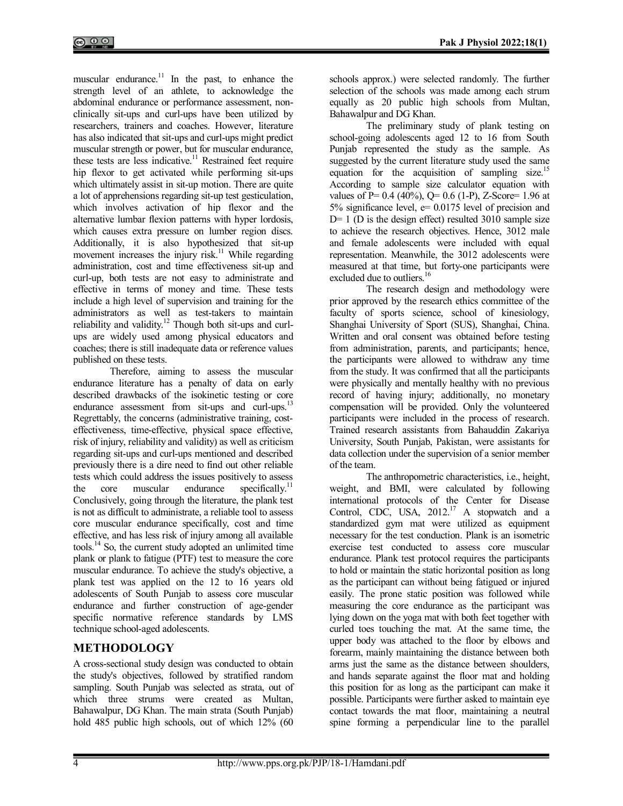muscular endurance. $11$  In the past, to enhance the strength level of an athlete, to acknowledge the abdominal endurance or performance assessment, nonclinically sit-ups and curl-ups have been utilized by researchers, trainers and coaches. However, literature has also indicated that sit-ups and curl-ups might predict muscular strength or power, but for muscular endurance, these tests are less indicative.<sup>11</sup> Restrained feet require hip flexor to get activated while performing sit-ups which ultimately assist in sit-up motion. There are quite a lot of apprehensions regarding sit-up test gesticulation, which involves activation of hip flexor and the alternative lumbar flexion patterns with hyper lordosis, which causes extra pressure on lumber region discs. Additionally, it is also hypothesized that sit-up movement increases the injury risk. $11$  While regarding administration, cost and time effectiveness sit-up and curl-up, both tests are not easy to administrate and effective in terms of money and time. These tests include a high level of supervision and training for the administrators as well as test-takers to maintain reliability and validity.<sup>12</sup> Though both sit-ups and curlups are widely used among physical educators and coaches; there is still inadequate data or reference values published on these tests.

Therefore, aiming to assess the muscular endurance literature has a penalty of data on early described drawbacks of the isokinetic testing or core endurance assessment from sit-ups and curl-ups.<sup>13</sup> Regrettably, the concerns (administrative training, costeffectiveness, time-effective, physical space effective, risk of injury, reliability and validity) as well as criticism regarding sit-ups and curl-ups mentioned and described previously there is a dire need to find out other reliable tests which could address the issues positively to assess<br>the core muscular endurance specifically.<sup>11</sup> the core muscular endurance specifically.<sup>11</sup> Conclusively, going through the literature, the plank test is not as difficult to administrate, a reliable tool to assess core muscular endurance specifically, cost and time effective, and has less risk of injury among all available tools.<sup>14</sup> So, the current study adopted an unlimited time plank or plank to fatigue (PTF) test to measure the core muscular endurance. To achieve the study's objective, a plank test was applied on the 12 to 16 years old adolescents of South Punjab to assess core muscular endurance and further construction of age-gender specific normative reference standards by LMS technique school-aged adolescents.

## **METHODOLOGY**

A cross-sectional study design was conducted to obtain the study's objectives, followed by stratified random sampling. South Punjab was selected as strata, out of which three strums were created as Multan, Bahawalpur, DG Khan. The main strata (South Punjab) hold 485 public high schools, out of which 12% (60

schools approx.) were selected randomly. The further selection of the schools was made among each strum equally as 20 public high schools from Multan, Bahawalpur and DG Khan.

The preliminary study of plank testing on school-going adolescents aged 12 to 16 from South Punjab represented the study as the sample. As suggested by the current literature study used the same equation for the acquisition of sampling size.<sup>15</sup> According to sample size calculator equation with values of P=  $0.4$  (40%), Q=  $0.6$  (1-P), Z-Score= 1.96 at 5% significance level, e= 0.0175 level of precision and  $D= 1$  (D is the design effect) resulted 3010 sample size to achieve the research objectives. Hence, 3012 male and female adolescents were included with equal representation. Meanwhile, the 3012 adolescents were measured at that time, but forty-one participants were excluded due to outliers.<sup>16</sup>

The research design and methodology were prior approved by the research ethics committee of the faculty of sports science, school of kinesiology, Shanghai University of Sport (SUS), Shanghai, China. Written and oral consent was obtained before testing from administration, parents, and participants; hence, the participants were allowed to withdraw any time from the study. It was confirmed that all the participants were physically and mentally healthy with no previous record of having injury; additionally, no monetary compensation will be provided. Only the volunteered participants were included in the process of research. Trained research assistants from Bahauddin Zakariya University, South Punjab, Pakistan, were assistants for data collection under the supervision of a senior member of the team.

The anthropometric characteristics, i.e., height, weight, and BMI, were calculated by following international protocols of the Center for Disease Control, CDC, USA,  $2012$ <sup>17</sup> A stopwatch and a standardized gym mat were utilized as equipment necessary for the test conduction. Plank is an isometric exercise test conducted to assess core muscular endurance. Plank test protocol requires the participants to hold or maintain the static horizontal position as long as the participant can without being fatigued or injured easily. The prone static position was followed while measuring the core endurance as the participant was lying down on the yoga mat with both feet together with curled toes touching the mat. At the same time, the upper body was attached to the floor by elbows and forearm, mainly maintaining the distance between both arms just the same as the distance between shoulders, and hands separate against the floor mat and holding this position for as long as the participant can make it possible. Participants were further asked to maintain eye contact towards the mat floor, maintaining a neutral spine forming a perpendicular line to the parallel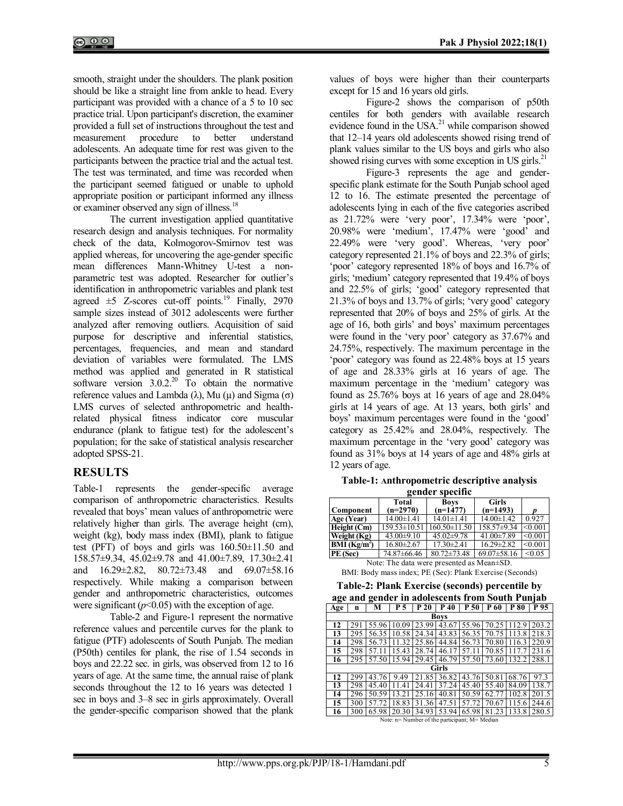smooth, straight under the shoulders. The plank position should be like a straight line from ankle to head. Every participant was provided with a chance of a 5 to 10 sec practice trial. Upon participant's discretion, the examiner provided a full set of instructions throughout the test and measurement procedure to better understand adolescents. An adequate time for rest was given to the participants between the practice trial and the actual test. The test was terminated, and time was recorded when the participant seemed fatigued or unable to uphold appropriate position or participant informed any illness or examiner observed any sign of illness.<sup>18</sup>

The current investigation applied quantitative research design and analysis techniques. For normality check of the data, Kolmogorov-Smirnov test was applied whereas, for uncovering the age-gender specific mean differences Mann-Whitney U-test a nonparametric test was adopted. Researcher for outlier's identification in anthropometric variables and plank test agreed  $\pm$ 5 Z-scores cut-off points.<sup>19</sup> Finally, 2970 sample sizes instead of 3012 adolescents were further analyzed after removing outliers. Acquisition of said purpose for descriptive and inferential statistics, percentages, frequencies, and mean and standard deviation of variables were formulated. The LMS method was applied and generated in R statistical software version  $3.0.2^{20}$  To obtain the normative reference values and Lambda (λ), Mu (μ) and Sigma (σ) LMS curves of selected anthropometric and healthrelated physical fitness indicator core muscular endurance (plank to fatigue test) for the adolescent's population; for the sake of statistical analysis researcher adopted SPSS-21.

#### **RESULTS**

Table-1 represents the gender-specific average comparison of anthropometric characteristics. Results revealed that boys' mean values of anthropometric were relatively higher than girls. The average height (cm), weight (kg), body mass index (BMI), plank to fatigue test (PFT) of boys and girls was 160.50±11.50 and 158.57±9.34, 45.02±9.78 and 41.00±7.89, 17.30±2.41 and 16.29±2.82, 80.72±73.48 and 69.07±58.16 respectively. While making a comparison between gender and anthropometric characteristics, outcomes were significant  $(p<0.05)$  with the exception of age.

Table-2 and Figure-1 represent the normative reference values and percentile curves for the plank to fatigue (PTF) adolescents of South Punjab. The median (P50th) centiles for plank, the rise of 1.54 seconds in boys and 22.22 sec. in girls, was observed from 12 to 16 years of age. At the same time, the annual raise of plank seconds throughout the 12 to 16 years was detected 1 sec in boys and 3–8 sec in girls approximately. Overall the gender-specific comparison showed that the plank

values of boys were higher than their counterparts except for 15 and 16 years old girls.

Figure-2 shows the comparison of p50th centiles for both genders with available research evidence found in the USA. $^{21}$  while comparison showed that 12–14 years old adolescents showed rising trend of plank values similar to the US boys and girls who also showed rising curves with some exception in US girls. $^{21}$ 

Figure-3 represents the age and genderspecific plank estimate for the South Punjab school aged 12 to 16. The estimate presented the percentage of adolescents lying in each of the five categories ascribed as 21.72% were 'very poor', 17.34% were 'poor', 20.98% were 'medium', 17.47% were 'good' and 22.49% were 'very good'. Whereas, 'very poor' category represented 21.1% of boys and 22.3% of girls; 'poor' category represented 18% of boys and 16.7% of girls; 'medium' category represented that 19.4% of boys and 22.5% of girls; 'good' category represented that 21.3% of boys and 13.7% of girls; 'very good' category represented that 20% of boys and 25% of girls. At the age of 16, both girls' and boys' maximum percentages were found in the 'very poor' category as 37.67% and 24.75%, respectively. The maximum percentage in the 'poor' category was found as 22.48% boys at 15 years of age and 28.33% girls at 16 years of age. The maximum percentage in the 'medium' category was found as 25.76% boys at 16 years of age and 28.04% girls at 14 years of age. At 13 years, both girls' and boys' maximum percentages were found in the 'good' category as 25.42% and 28.04%, respectively. The maximum percentage in the 'very good' category was found as 31% boys at 14 years of age and 48% girls at 12 years of age.

**Table-1: Anthropometric descriptive analysis gender specific**

| genuer specine          |                    |                    |                   |         |  |  |  |  |
|-------------------------|--------------------|--------------------|-------------------|---------|--|--|--|--|
|                         | <b>Total</b>       | <b>Boys</b>        | <b>Girls</b>      |         |  |  |  |  |
| Component               | $(n=2970)$         | $(n=1477)$         | $(n=1493)$        | n       |  |  |  |  |
| Age (Year)              | $14.00 \pm 1.41$   | $14.01 \pm 1.41$   | $14.00 \pm 1.42$  | 0.927   |  |  |  |  |
| Height $(Cm)$           | $159.53 \pm 10.51$ | $160.50 \pm 11.50$ | $158.57\pm9.34$   | < 0.001 |  |  |  |  |
| Weight (Kg)             | $43.00 \pm 9.10$   | $45.02 \pm 9.78$   | 41.00±7.89        | < 0.001 |  |  |  |  |
| BMI(Kg/m <sup>2</sup> ) | $16.80 \pm 2.67$   | $17.30 \pm 2.41$   | $16.29 \pm 2.82$  | < 0.001 |  |  |  |  |
| PE (Sec)                | 74.87±66.46        | $80.72 \pm 73.48$  | $69.07 \pm 58.16$ | < 0.05  |  |  |  |  |

Note: The data were presented as Mean±SD.  $\overline{D}$ MI: Body mass index; PE (Sec): Plank Exercise (Sec

|  |  |  | BINII: BOUY mass muex; PE (Sec): Plank Exercise (Seconds) |  |
|--|--|--|-----------------------------------------------------------|--|
|  |  |  | Feble 2: Dlank Fyangisa (seconds) novembile by            |  |

| Table-2: Plank Exercise (seconds) percentile by |     |       |       |       |             |       |                      |       |       |
|-------------------------------------------------|-----|-------|-------|-------|-------------|-------|----------------------|-------|-------|
| age and gender in adolescents from South Punjab |     |       |       |       |             |       |                      |       |       |
| Age                                             | n   | м     | P 5   | P20   | P 40        |       | $P 50$ $P 60$ $P 80$ |       | P 95  |
|                                                 |     |       |       |       | <b>Boys</b> |       |                      |       |       |
| 12                                              | 29  | 55.96 | 10.09 | 23.99 | 43.67       | 55.96 | 70.25                | 112.9 | 203.2 |
| 13                                              | 295 | 56.35 | 10.58 | 24.34 | 43.83       | 56.35 | 70.75                | 113.8 | 218.3 |
| 14                                              | 298 | 56.73 | -32   | 25.86 | 44.84       | 56.73 | 70.80                | 116.3 | 220.9 |
| 15                                              | 298 | 57.1  | 15.43 | 28.74 | 46.17       | 57.11 | 70.85                | 17.7  | 231.6 |
| 16                                              | 295 | 57.50 | 15.94 | 29.45 | 46.79       | 57.50 | 73.60                | 132.2 | 288.1 |
|                                                 |     |       |       |       | Girls       |       |                      |       |       |
| 12                                              | 299 | 43.76 | 9.49  | 21.85 | 36.82       | 43.76 | 50.81                | 68.76 | 97.3  |
| 13                                              | 298 | 45.40 | .41   | 24.41 | 37.24       | 45.40 | 55.40                | 84.09 | 138.7 |
| 14                                              | 296 | 50.59 | 13.21 | 25.16 | 40.81       | 50.59 | 62.77                | 102.8 | 201.5 |
| 15                                              | 300 | 57    | 18.83 | 31.36 | 47.5        | 57.72 | 70.67                | 15.6  | 244.6 |
| 16                                              | 300 | 65.98 | 20.30 | 34.93 | 53.94       | 65.98 | 81.23                | 133.8 | 280.5 |
| Note: n= Number of the participant: M= Median   |     |       |       |       |             |       |                      |       |       |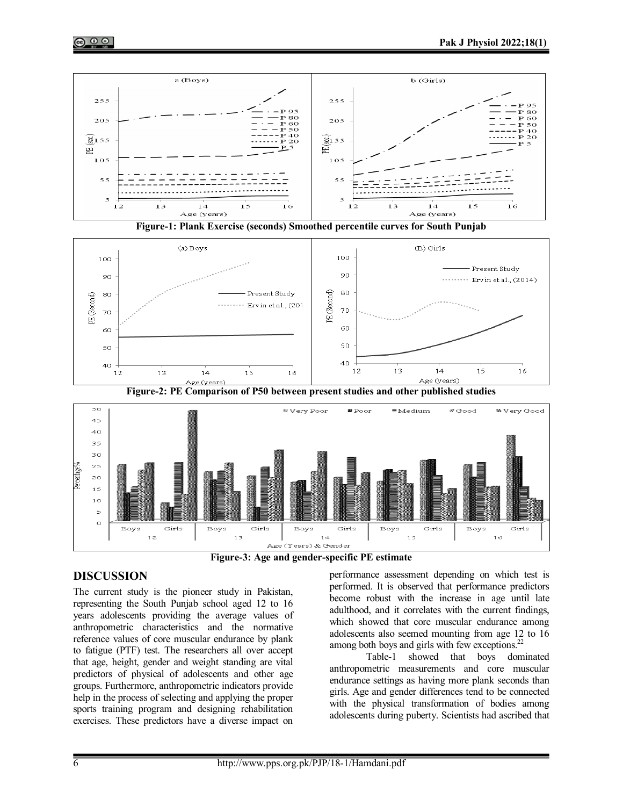







**Figure-2: PE Comparison of P50 between present studies and other published studies**

.<br>Age (Years) & Gender **Figure-3: Age and gender-specific PE estimate**

 $1 - 4$ 

Girls

Boys

 $15$ 

Boys

## **DISCUSSION**

The current study is the pioneer study in Pakistan, representing the South Punjab school aged 12 to 16 years adolescents providing the average values of anthropometric characteristics and the normative reference values of core muscular endurance by plank to fatigue (PTF) test. The researchers all over accept that age, height, gender and weight standing are vital predictors of physical of adolescents and other age groups. Furthermore, anthropometric indicators provide help in the process of selecting and applying the proper sports training program and designing rehabilitation exercises. These predictors have a diverse impact on

Girls

 $12$ 

Boys

 $\overline{1}$ 

Girls

performance assessment depending on which test is performed. It is observed that performance predictors become robust with the increase in age until late adulthood, and it correlates with the current findings, which showed that core muscular endurance among adolescents also seemed mounting from age 12 to 16 among both boys and girls with few exceptions. $^{22}$ 

Girls

Boys

Girls

 $16$ 

kge (years)

Table-1 showed that boys dominated anthropometric measurements and core muscular endurance settings as having more plank seconds than girls. Age and gender differences tend to be connected with the physical transformation of bodies among adolescents during puberty. Scientists had ascribed that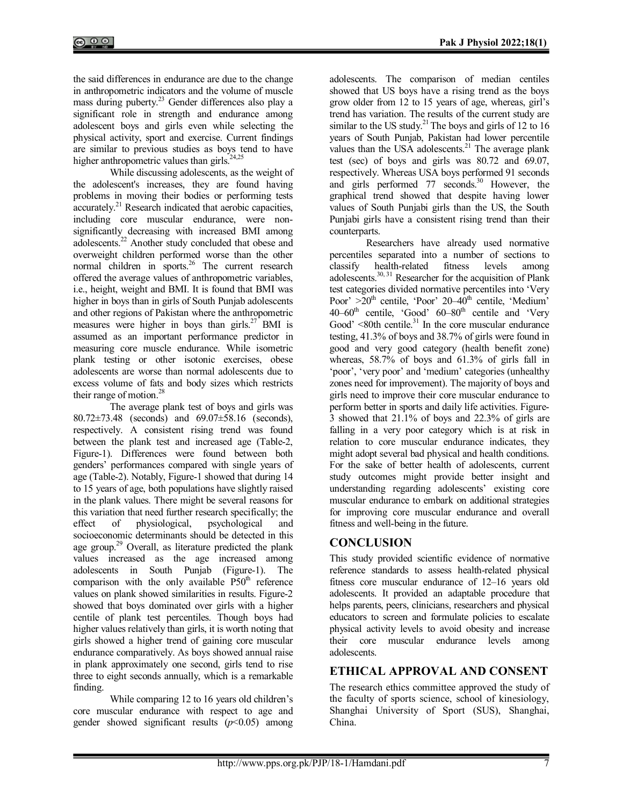the said differences in endurance are due to the change in anthropometric indicators and the volume of muscle mass during puberty.<sup>23</sup> Gender differences also play a significant role in strength and endurance among adolescent boys and girls even while selecting the physical activity, sport and exercise. Current findings are similar to previous studies as boys tend to have higher anthropometric values than girls.<sup>24,25</sup>

While discussing adolescents, as the weight of the adolescent's increases, they are found having problems in moving their bodies or performing tests accurately.<sup>21</sup> Research indicated that aerobic capacities, including core muscular endurance, were nonsignificantly decreasing with increased BMI among adolescents.<sup>22</sup> Another study concluded that obese and overweight children performed worse than the other normal children in sports.<sup>26</sup> The current research offered the average values of anthropometric variables, i.e., height, weight and BMI. It is found that BMI was higher in boys than in girls of South Punjab adolescents and other regions of Pakistan where the anthropometric measures were higher in boys than girls. $27$  BMI is assumed as an important performance predictor in measuring core muscle endurance. While isometric plank testing or other isotonic exercises, obese adolescents are worse than normal adolescents due to excess volume of fats and body sizes which restricts their range of motion.<sup>28</sup>

The average plank test of boys and girls was 80.72±73.48 (seconds) and 69.07±58.16 (seconds), respectively. A consistent rising trend was found between the plank test and increased age (Table-2, Figure-1). Differences were found between both genders' performances compared with single years of age (Table-2). Notably, Figure-1 showed that during 14 to 15 years of age, both populations have slightly raised in the plank values. There might be several reasons for this variation that need further research specifically; the effect of physiological, psychological and socioeconomic determinants should be detected in this age group. $2^9$  Overall, as literature predicted the plank values increased as the age increased among adolescents in South Punjab (Figure-1). The comparison with the only available  $P50<sup>th</sup>$  reference values on plank showed similarities in results. Figure-2 showed that boys dominated over girls with a higher centile of plank test percentiles. Though boys had higher values relatively than girls, it is worth noting that girls showed a higher trend of gaining core muscular endurance comparatively. As boys showed annual raise in plank approximately one second, girls tend to rise three to eight seconds annually, which is a remarkable finding.

While comparing 12 to 16 years old children's core muscular endurance with respect to age and gender showed significant results  $(p<0.05)$  among adolescents. The comparison of median centiles showed that US boys have a rising trend as the boys grow older from 12 to 15 years of age, whereas, girl's trend has variation. The results of the current study are similar to the US study.<sup>21</sup> The boys and girls of 12 to 16 years of South Punjab, Pakistan had lower percentile values than the USA adolescents. $21$  The average plank test (sec) of boys and girls was 80.72 and 69.07, respectively. Whereas USA boys performed 91 seconds and girls performed  $77$  seconds.<sup>30</sup> However, the graphical trend showed that despite having lower values of South Punjabi girls than the US, the South Punjabi girls have a consistent rising trend than their counterparts.

Researchers have already used normative percentiles separated into a number of sections to classify health-related fitness levels among adolescents. $30, 31$  Researcher for the acquisition of Plank test categories divided normative percentiles into 'Very Poor'  $>20$ <sup>th</sup> centile, 'Poor' 20-40<sup>th</sup> centile, 'Medium'  $40-60$ <sup>th</sup> centile, 'Good'  $60-80$ <sup>th</sup> centile and 'Very Good'  $\leq 80$ th centile.<sup>31</sup> In the core muscular endurance testing, 41.3% of boys and 38.7% of girls were found in good and very good category (health benefit zone) whereas, 58.7% of boys and 61.3% of girls fall in 'poor', 'very poor' and 'medium' categories (unhealthy zones need for improvement). The majority of boys and girls need to improve their core muscular endurance to perform better in sports and daily life activities. Figure-3 showed that 21.1% of boys and 22.3% of girls are falling in a very poor category which is at risk in relation to core muscular endurance indicates, they might adopt several bad physical and health conditions. For the sake of better health of adolescents, current study outcomes might provide better insight and understanding regarding adolescents' existing core muscular endurance to embark on additional strategies for improving core muscular endurance and overall fitness and well-being in the future.

## **CONCLUSION**

This study provided scientific evidence of normative reference standards to assess health-related physical fitness core muscular endurance of 12–16 years old adolescents. It provided an adaptable procedure that helps parents, peers, clinicians, researchers and physical educators to screen and formulate policies to escalate physical activity levels to avoid obesity and increase their core muscular endurance levels among adolescents.

# **ETHICAL APPROVAL AND CONSENT**

The research ethics committee approved the study of the faculty of sports science, school of kinesiology, Shanghai University of Sport (SUS), Shanghai, China.